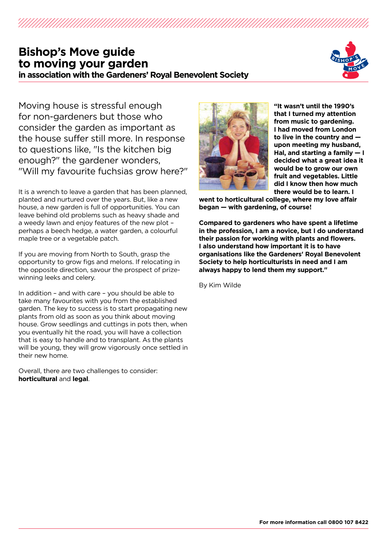# **Bishop's Move guide to moving your garden in association with the Gardeners' Royal Benevolent Society**



Moving house is stressful enough for non-gardeners but those who consider the garden as important as the house suffer still more. In response to questions like, "Is the kitchen big enough?" the gardener wonders, "Will my favourite fuchsias grow here?"

It is a wrench to leave a garden that has been planned, planted and nurtured over the years. But, like a new house, a new garden is full of opportunities. You can leave behind old problems such as heavy shade and a weedy lawn and enjoy features of the new plot – perhaps a beech hedge, a water garden, a colourful maple tree or a vegetable patch.

If you are moving from North to South, grasp the opportunity to grow figs and melons. If relocating in the opposite direction, savour the prospect of prizewinning leeks and celery.

In addition – and with care – you should be able to take many favourites with you from the established garden. The key to success is to start propagating new plants from old as soon as you think about moving house. Grow seedlings and cuttings in pots then, when you eventually hit the road, you will have a collection that is easy to handle and to transplant. As the plants will be young, they will grow vigorously once settled in their new home.

Overall, there are two challenges to consider: **horticultural** and **legal**.



**"It wasn't until the 1990's that I turned my attention from music to gardening. I had moved from London to live in the country and upon meeting my husband, Hal, and starting a family — I decided what a great idea it would be to grow our own fruit and vegetables. Little did I know then how much there would be to learn. I** 

**went to horticultural college, where my love affair began — with gardening, of course!** 

**Compared to gardeners who have spent a lifetime in the profession, I am a novice, but I do understand their passion for working with plants and flowers. I also understand how important it is to have organisations like the Gardeners' Royal Benevolent Society to help horticulturists in need and I am always happy to lend them my support."**

By Kim Wilde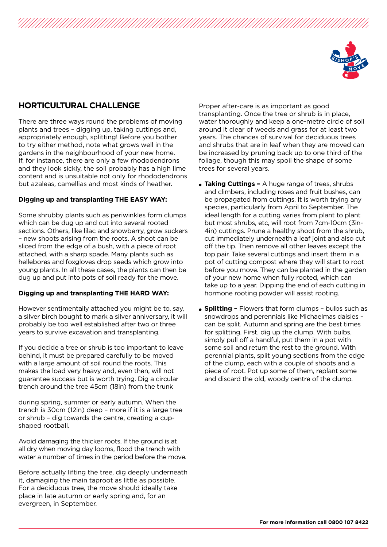

## **HORTICULTURAL CHALLENGE**

There are three ways round the problems of moving plants and trees – digging up, taking cuttings and, appropriately enough, splitting! Before you bother to try either method, note what grows well in the gardens in the neighbourhood of your new home. If, for instance, there are only a few rhododendrons and they look sickly, the soil probably has a high lime content and is unsuitable not only for rhododendrons but azaleas, camellias and most kinds of heather.

#### **Digging up and transplanting THE EASY WAY:**

Some shrubby plants such as periwinkles form clumps which can be dug up and cut into several rooted sections. Others, like lilac and snowberry, grow suckers – new shoots arising from the roots. A shoot can be sliced from the edge of a bush, with a piece of root attached, with a sharp spade. Many plants such as hellebores and foxgloves drop seeds which grow into young plants. In all these cases, the plants can then be dug up and put into pots of soil ready for the move.

#### **Digging up and transplanting THE HARD WAY:**

However sentimentally attached you might be to, say, a silver birch bought to mark a silver anniversary, it will probably be too well established after two or three years to survive excavation and transplanting.

If you decide a tree or shrub is too important to leave behind, it must be prepared carefully to be moved with a large amount of soil round the roots. This makes the load very heavy and, even then, will not guarantee success but is worth trying. Dig a circular trench around the tree 45cm (18in) from the trunk

during spring, summer or early autumn. When the trench is 30cm (12in) deep – more if it is a large tree or shrub – dig towards the centre, creating a cupshaped rootball.

Avoid damaging the thicker roots. If the ground is at all dry when moving day looms, flood the trench with water a number of times in the period before the move.

Before actually lifting the tree, dig deeply underneath it, damaging the main taproot as little as possible. For a deciduous tree, the move should ideally take place in late autumn or early spring and, for an evergreen, in September.

Proper after-care is as important as good transplanting. Once the tree or shrub is in place, water thoroughly and keep a one-metre circle of soil around it clear of weeds and grass for at least two years. The chances of survival for deciduous trees and shrubs that are in leaf when they are moved can be increased by pruning back up to one third of the foliage, though this may spoil the shape of some trees for several years.

- **Taking Cuttings** A huge range of trees, shrubs and climbers, including roses and fruit bushes, can be propagated from cuttings. It is worth trying any species, particularly from April to September. The ideal length for a cutting varies from plant to plant but most shrubs, etc, will root from 7cm-10cm (3in-4in) cuttings. Prune a healthy shoot from the shrub, cut immediately underneath a leaf joint and also cut off the tip. Then remove all other leaves except the top pair. Take several cuttings and insert them in a pot of cutting compost where they will start to root before you move. They can be planted in the garden of your new home when fully rooted, which can take up to a year. Dipping the end of each cutting in hormone rooting powder will assist rooting.
- **Splitting** Flowers that form clumps bulbs such as snowdrops and perennials like Michaelmas daisies – can be split. Autumn and spring are the best times for splitting. First, dig up the clump. With bulbs, simply pull off a handful, put them in a pot with some soil and return the rest to the ground. With perennial plants, split young sections from the edge of the clump, each with a couple of shoots and a piece of root. Pot up some of them, replant some and discard the old, woody centre of the clump.